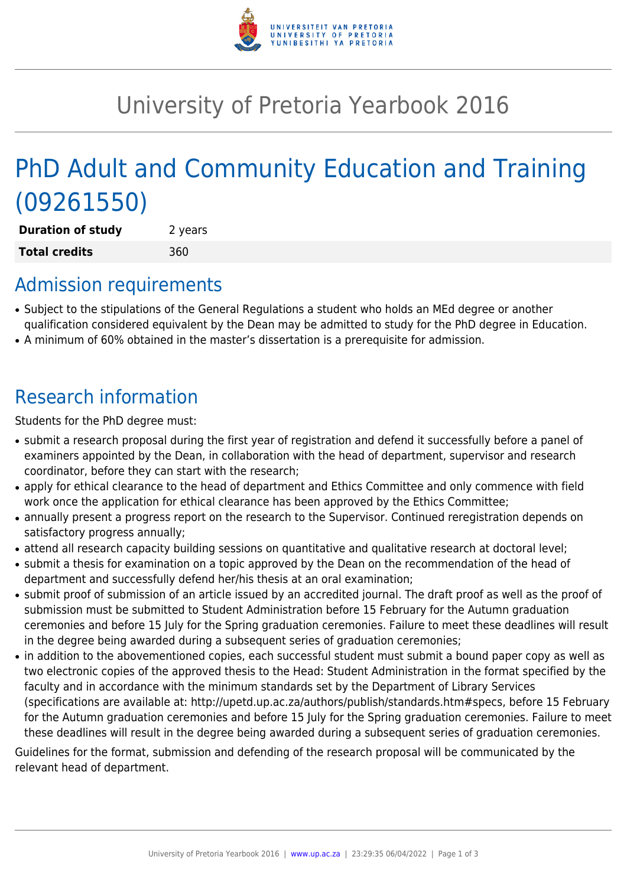

## University of Pretoria Yearbook 2016

# PhD Adult and Community Education and Training (09261550)

**Duration of study** 2 years **Total credits** 360

### Admission requirements

- Subject to the stipulations of the General Regulations a student who holds an MEd degree or another qualification considered equivalent by the Dean may be admitted to study for the PhD degree in Education.
- A minimum of 60% obtained in the master's dissertation is a prerequisite for admission.

## Research information

Students for the PhD degree must:

- submit a research proposal during the first year of registration and defend it successfully before a panel of examiners appointed by the Dean, in collaboration with the head of department, supervisor and research coordinator, before they can start with the research;
- apply for ethical clearance to the head of department and Ethics Committee and only commence with field work once the application for ethical clearance has been approved by the Ethics Committee;
- annually present a progress report on the research to the Supervisor. Continued reregistration depends on satisfactory progress annually;
- attend all research capacity building sessions on quantitative and qualitative research at doctoral level;
- submit a thesis for examination on a topic approved by the Dean on the recommendation of the head of department and successfully defend her/his thesis at an oral examination;
- submit proof of submission of an article issued by an accredited journal. The draft proof as well as the proof of submission must be submitted to Student Administration before 15 February for the Autumn graduation ceremonies and before 15 July for the Spring graduation ceremonies. Failure to meet these deadlines will result in the degree being awarded during a subsequent series of graduation ceremonies;
- in addition to the abovementioned copies, each successful student must submit a bound paper copy as well as two electronic copies of the approved thesis to the Head: Student Administration in the format specified by the faculty and in accordance with the minimum standards set by the Department of Library Services (specifications are available at: http://upetd.up.ac.za/authors/publish/standards.htm#specs, before 15 February for the Autumn graduation ceremonies and before 15 July for the Spring graduation ceremonies. Failure to meet these deadlines will result in the degree being awarded during a subsequent series of graduation ceremonies.

Guidelines for the format, submission and defending of the research proposal will be communicated by the relevant head of department.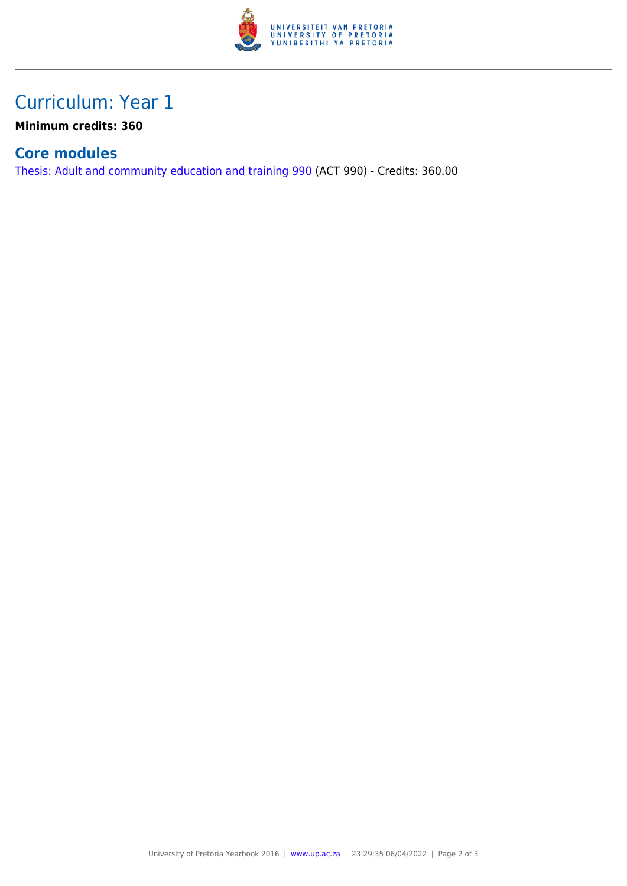

### Curriculum: Year 1

**Minimum credits: 360**

#### **Core modules**

[Thesis: Adult and community education and training 990](https://www.up.ac.za/parents/yearbooks/2016/modules/view/ACT 990) (ACT 990) - Credits: 360.00